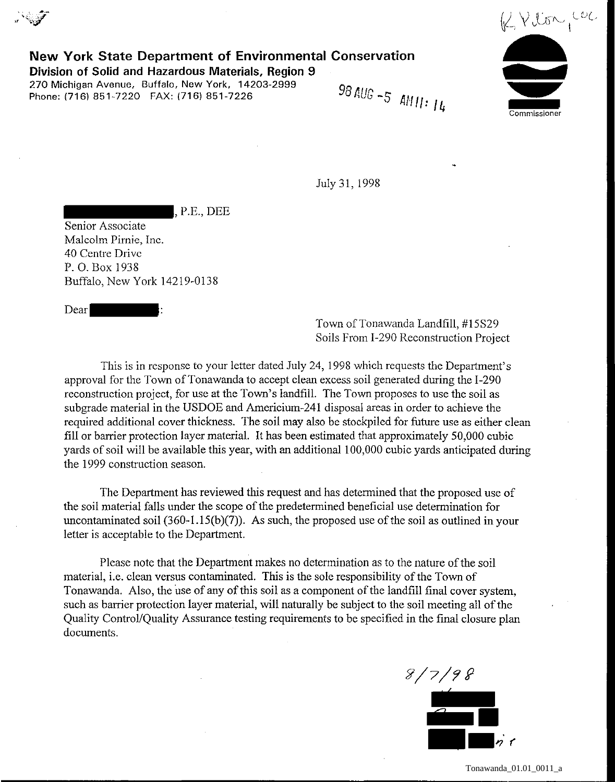

**New York State Department of Environmental Conservation** 

**Division of Solid and Hazardous Materials, Region 9**  Phone: (716) 851-7220 FAX: (716) 851-7226

98 AUG -5 AM 11:  $14$ 

July 31, 1998

, P.E., DEE

Senior Associate Malcolm Pirnie, Inc. 40 Centre Drive P. 0. Box 1938 Buffalo, New York 14219-0138

Dear

Town of Tonawanda Landfill, #15S29 Soils From I-290 Reconstruction Project

This is in response to your letter dated July 24, 1998 which requests the Department's approval for the Town of Tonawanda to accept clean excess soil generated during the I-290 reconstruction project, for use at the Town's landfill. The Town proposes to use the soil as subgrade material in the USDOE and Arnericium-241 disposal areas in order to achieve the required additional cover thickness. The soil may also be stockpiled for future use as either clean fill or barrier protection layer material. It has been estimated that approximately 50,000 cubic yards of soil will be available this year, with an additional 100,000 cubic yards anticipated during the 1999 construction season.

The Department has reviewed this request and has determined that the proposed use of the soil material falls under the scope of the predetermined beneficial use determination for uncontaminated soil  $(360-1.15(b)(7))$ . As such, the proposed use of the soil as outlined in your letter is acceptable to the Department.

Please note that the Department makes no determination as to the nature of the soil material, i.e. clean versus contaminated. This is the sole responsibility of the Town of Tonawanda. Also, the use of any of this soil as a component of the landfill final cover system, such as barrier protection layer material, will naturally be subject to the soil meeting all of the Quality Control/Quality Assurance testing requirements to be specified in the final closure plan documents.